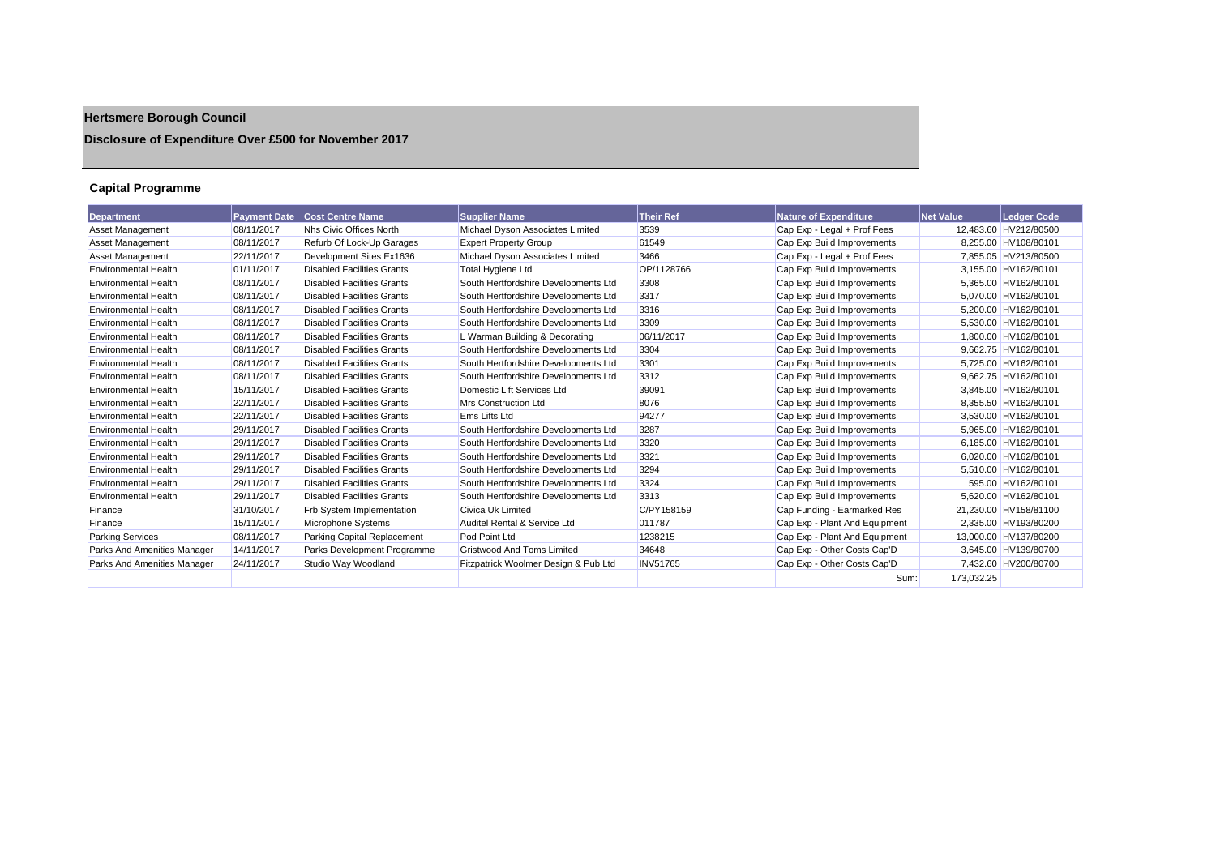# **Hertsmere Borough Council**

## **Disclosure of Expenditure Over £500 for November 2017**

## **Capital Programme**

| <b>Department</b>           | <b>Payment Date</b> | <b>Cost Centre Name</b>           | <b>Supplier Name</b>                 | <b>Their Ref</b> | <b>Nature of Expenditure</b>  | <b>Net Value</b> | <b>Ledger Code</b>    |
|-----------------------------|---------------------|-----------------------------------|--------------------------------------|------------------|-------------------------------|------------------|-----------------------|
| <b>Asset Management</b>     | 08/11/2017          | Nhs Civic Offices North           | Michael Dyson Associates Limited     | 3539             | Cap Exp - Legal + Prof Fees   |                  | 12,483.60 HV212/80500 |
| <b>Asset Management</b>     | 08/11/2017          | Refurb Of Lock-Up Garages         | <b>Expert Property Group</b>         | 61549            | Cap Exp Build Improvements    |                  | 8.255.00 HV108/80101  |
| <b>Asset Management</b>     | 22/11/2017          | Development Sites Ex1636          | Michael Dyson Associates Limited     | 3466             | Cap Exp - Legal + Prof Fees   |                  | 7,855.05 HV213/80500  |
| <b>Environmental Health</b> | 01/11/2017          | <b>Disabled Facilities Grants</b> | Total Hygiene Ltd                    | OP/1128766       | Cap Exp Build Improvements    |                  | 3.155.00 HV162/80101  |
| <b>Environmental Health</b> | 08/11/2017          | <b>Disabled Facilities Grants</b> | South Hertfordshire Developments Ltd | 3308             | Cap Exp Build Improvements    |                  | 5,365.00 HV162/80101  |
| <b>Environmental Health</b> | 08/11/2017          | <b>Disabled Facilities Grants</b> | South Hertfordshire Developments Ltd | 3317             | Cap Exp Build Improvements    |                  | 5,070.00 HV162/80101  |
| <b>Environmental Health</b> | 08/11/2017          | <b>Disabled Facilities Grants</b> | South Hertfordshire Developments Ltd | 3316             | Cap Exp Build Improvements    |                  | 5.200.00 HV162/80101  |
| <b>Environmental Health</b> | 08/11/2017          | <b>Disabled Facilities Grants</b> | South Hertfordshire Developments Ltd | 3309             | Cap Exp Build Improvements    |                  | 5,530.00 HV162/80101  |
| <b>Environmental Health</b> | 08/11/2017          | <b>Disabled Facilities Grants</b> | L Warman Building & Decorating       | 06/11/2017       | Cap Exp Build Improvements    |                  | 1.800.00 HV162/80101  |
| <b>Environmental Health</b> | 08/11/2017          | <b>Disabled Facilities Grants</b> | South Hertfordshire Developments Ltd | 3304             | Cap Exp Build Improvements    |                  | 9.662.75 HV162/80101  |
| <b>Environmental Health</b> | 08/11/2017          | <b>Disabled Facilities Grants</b> | South Hertfordshire Developments Ltd | 3301             | Cap Exp Build Improvements    |                  | 5,725.00 HV162/80101  |
| <b>Environmental Health</b> | 08/11/2017          | <b>Disabled Facilities Grants</b> | South Hertfordshire Developments Ltd | 3312             | Cap Exp Build Improvements    |                  | 9.662.75 HV162/80101  |
| <b>Environmental Health</b> | 15/11/2017          | <b>Disabled Facilities Grants</b> | Domestic Lift Services Ltd           | 39091            | Cap Exp Build Improvements    |                  | 3.845.00 HV162/80101  |
| <b>Environmental Health</b> | 22/11/2017          | <b>Disabled Facilities Grants</b> | <b>Mrs Construction Ltd</b>          | 8076             | Cap Exp Build Improvements    |                  | 8.355.50 HV162/80101  |
| <b>Environmental Health</b> | 22/11/2017          | <b>Disabled Facilities Grants</b> | Ems Lifts Ltd                        | 94277            | Cap Exp Build Improvements    |                  | 3,530.00 HV162/80101  |
| <b>Environmental Health</b> | 29/11/2017          | <b>Disabled Facilities Grants</b> | South Hertfordshire Developments Ltd | 3287             | Cap Exp Build Improvements    |                  | 5,965.00 HV162/80101  |
| <b>Environmental Health</b> | 29/11/2017          | <b>Disabled Facilities Grants</b> | South Hertfordshire Developments Ltd | 3320             | Cap Exp Build Improvements    |                  | 6.185.00 HV162/80101  |
| <b>Environmental Health</b> | 29/11/2017          | <b>Disabled Facilities Grants</b> | South Hertfordshire Developments Ltd | 3321             | Cap Exp Build Improvements    |                  | 6,020.00 HV162/80101  |
| <b>Environmental Health</b> | 29/11/2017          | <b>Disabled Facilities Grants</b> | South Hertfordshire Developments Ltd | 3294             | Cap Exp Build Improvements    |                  | 5,510.00 HV162/80101  |
| <b>Environmental Health</b> | 29/11/2017          | <b>Disabled Facilities Grants</b> | South Hertfordshire Developments Ltd | 3324             | Cap Exp Build Improvements    |                  | 595.00 HV162/80101    |
| <b>Environmental Health</b> | 29/11/2017          | <b>Disabled Facilities Grants</b> | South Hertfordshire Developments Ltd | 3313             | Cap Exp Build Improvements    |                  | 5.620.00 HV162/80101  |
| Finance                     | 31/10/2017          | Frb System Implementation         | <b>Civica Uk Limited</b>             | C/PY158159       | Cap Funding - Earmarked Res   |                  | 21,230.00 HV158/81100 |
| Finance                     | 15/11/2017          | Microphone Systems                | Auditel Rental & Service Ltd         | 011787           | Cap Exp - Plant And Equipment |                  | 2,335.00 HV193/80200  |
| <b>Parking Services</b>     | 08/11/2017          | Parking Capital Replacement       | Pod Point Ltd                        | 1238215          | Cap Exp - Plant And Equipment |                  | 13,000.00 HV137/80200 |
| Parks And Amenities Manager | 14/11/2017          | Parks Development Programme       | <b>Gristwood And Toms Limited</b>    | 34648            | Cap Exp - Other Costs Cap'D   |                  | 3,645.00 HV139/80700  |
| Parks And Amenities Manager | 24/11/2017          | Studio Way Woodland               | Fitzpatrick Woolmer Design & Pub Ltd | <b>INV51765</b>  | Cap Exp - Other Costs Cap'D   |                  | 7,432.60 HV200/80700  |
|                             |                     |                                   |                                      |                  | Sum:                          | 173.032.25       |                       |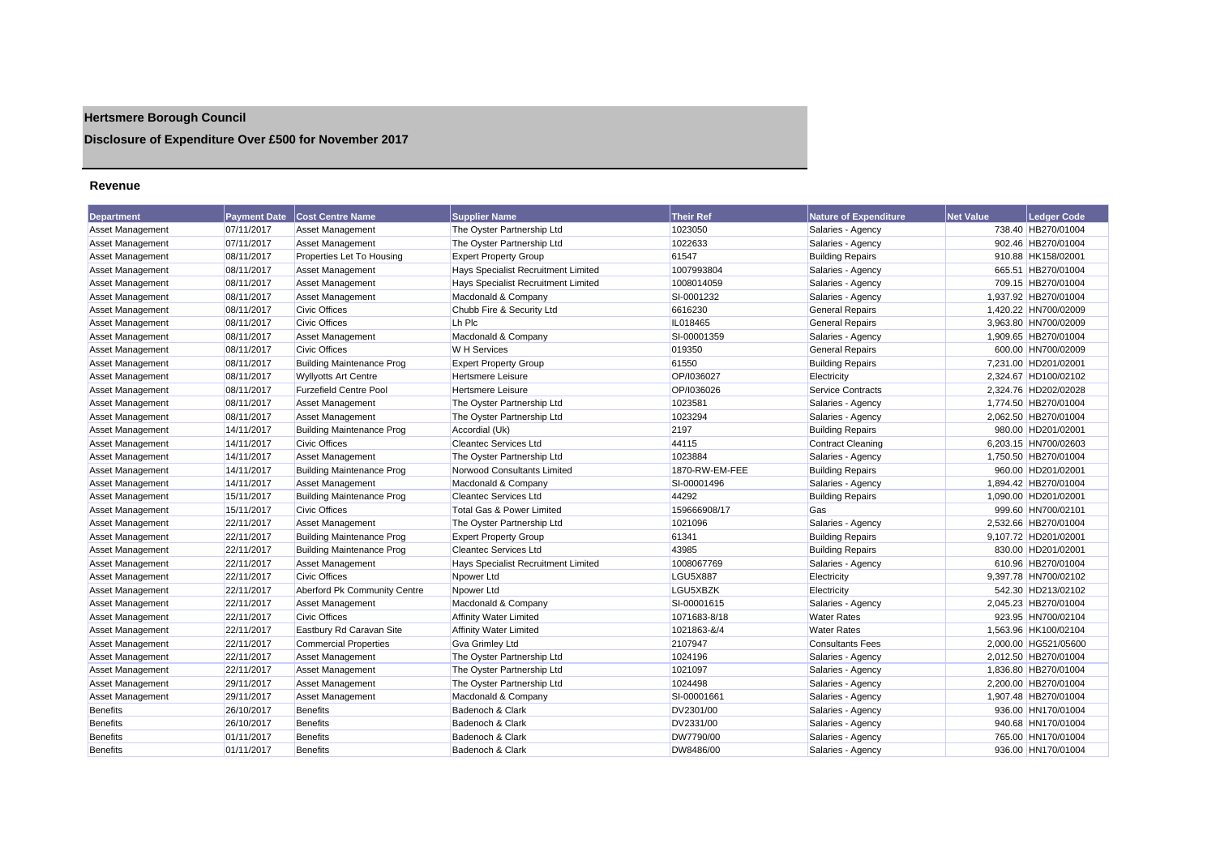## **Hertsmere Borough Council**

## **Disclosure of Expenditure Over £500 for November 2017**

#### **Revenue**

| Department              | <b>Payment Date</b> | <b>Cost Centre Name</b>          | <b>Supplier Name</b>                       | <b>Their Ref</b> | <b>Nature of Expenditure</b> | <b>Net Value</b> | <b>Ledger Code</b>   |
|-------------------------|---------------------|----------------------------------|--------------------------------------------|------------------|------------------------------|------------------|----------------------|
| <b>Asset Management</b> | 07/11/2017          | Asset Management                 | The Oyster Partnership Ltd                 | 1023050          | Salaries - Agency            |                  | 738.40 HB270/01004   |
| Asset Management        | 07/11/2017          | Asset Management                 | The Oyster Partnership Ltd                 | 1022633          | Salaries - Agency            |                  | 902.46 HB270/01004   |
| <b>Asset Management</b> | 08/11/2017          | Properties Let To Housing        | <b>Expert Property Group</b>               | 61547            | <b>Building Repairs</b>      |                  | 910.88 HK158/02001   |
| <b>Asset Management</b> | 08/11/2017          | Asset Management                 | Hays Specialist Recruitment Limited        | 1007993804       | Salaries - Agency            |                  | 665.51 HB270/01004   |
| <b>Asset Management</b> | 08/11/2017          | Asset Management                 | <b>Hays Specialist Recruitment Limited</b> | 1008014059       | Salaries - Agency            |                  | 709.15 HB270/01004   |
| <b>Asset Management</b> | 08/11/2017          | <b>Asset Management</b>          | Macdonald & Company                        | SI-0001232       | Salaries - Agency            |                  | 1,937.92 HB270/01004 |
| <b>Asset Management</b> | 08/11/2017          | <b>Civic Offices</b>             | Chubb Fire & Security Ltd                  | 6616230          | <b>General Repairs</b>       |                  | 1,420.22 HN700/02009 |
| Asset Management        | 08/11/2017          | <b>Civic Offices</b>             | Lh Plc                                     | IL018465         | <b>General Repairs</b>       |                  | 3,963.80 HN700/02009 |
| <b>Asset Management</b> | 08/11/2017          | Asset Management                 | Macdonald & Company                        | SI-00001359      | Salaries - Agency            |                  | 1,909.65 HB270/01004 |
| <b>Asset Management</b> | 08/11/2017          | <b>Civic Offices</b>             | <b>W</b> H Services                        | 019350           | <b>General Repairs</b>       |                  | 600.00 HN700/02009   |
| <b>Asset Management</b> | 08/11/2017          | <b>Building Maintenance Prog</b> | <b>Expert Property Group</b>               | 61550            | <b>Building Repairs</b>      |                  | 7,231.00 HD201/02001 |
| <b>Asset Management</b> | 08/11/2017          | <b>Wyllyotts Art Centre</b>      | <b>Hertsmere Leisure</b>                   | OP/I036027       | Electricity                  |                  | 2,324.67 HD100/02102 |
| Asset Management        | 08/11/2017          | <b>Furzefield Centre Pool</b>    | <b>Hertsmere Leisure</b>                   | OP/I036026       | <b>Service Contracts</b>     |                  | 2.324.76 HD202/02028 |
| <b>Asset Management</b> | 08/11/2017          | Asset Management                 | The Oyster Partnership Ltd                 | 1023581          | Salaries - Agency            |                  | 1,774.50 HB270/01004 |
| <b>Asset Management</b> | 08/11/2017          | <b>Asset Management</b>          | The Oyster Partnership Ltd                 | 1023294          | Salaries - Agency            |                  | 2,062.50 HB270/01004 |
| <b>Asset Management</b> | 14/11/2017          | <b>Building Maintenance Prog</b> | Accordial (Uk)                             | 2197             | <b>Building Repairs</b>      |                  | 980.00 HD201/02001   |
| <b>Asset Management</b> | 14/11/2017          | <b>Civic Offices</b>             | <b>Cleantec Services Ltd</b>               | 44115            | <b>Contract Cleaning</b>     |                  | 6,203.15 HN700/02603 |
| <b>Asset Management</b> | 14/11/2017          | <b>Asset Management</b>          | The Oyster Partnership Ltd                 | 1023884          | Salaries - Agency            |                  | 1,750.50 HB270/01004 |
| <b>Asset Management</b> | 14/11/2017          | <b>Building Maintenance Prog</b> | Norwood Consultants Limited                | 1870-RW-EM-FEE   | <b>Building Repairs</b>      |                  | 960.00 HD201/02001   |
| <b>Asset Management</b> | 14/11/2017          | <b>Asset Management</b>          | Macdonald & Company                        | SI-00001496      | Salaries - Agency            |                  | 1,894.42 HB270/01004 |
| <b>Asset Management</b> | 15/11/2017          | <b>Building Maintenance Prog</b> | <b>Cleantec Services Ltd</b>               | 44292            | <b>Building Repairs</b>      |                  | 1,090.00 HD201/02001 |
| Asset Management        | 15/11/2017          | <b>Civic Offices</b>             | <b>Total Gas &amp; Power Limited</b>       | 159666908/17     | Gas                          |                  | 999.60 HN700/02101   |
| Asset Management        | 22/11/2017          | Asset Management                 | The Oyster Partnership Ltd                 | 1021096          | Salaries - Agency            |                  | 2,532.66 HB270/01004 |
| <b>Asset Management</b> | 22/11/2017          | <b>Building Maintenance Prog</b> | <b>Expert Property Group</b>               | 61341            | <b>Building Repairs</b>      |                  | 9,107.72 HD201/02001 |
| <b>Asset Management</b> | 22/11/2017          | <b>Building Maintenance Prog</b> | <b>Cleantec Services Ltd</b>               | 43985            | <b>Building Repairs</b>      |                  | 830.00 HD201/02001   |
| Asset Management        | 22/11/2017          | Asset Management                 | <b>Hays Specialist Recruitment Limited</b> | 1008067769       | Salaries - Agency            |                  | 610.96 HB270/01004   |
| Asset Management        | 22/11/2017          | <b>Civic Offices</b>             | Npower Ltd                                 | LGU5X887         | Electricity                  |                  | 9,397.78 HN700/02102 |
| <b>Asset Management</b> | 22/11/2017          | Aberford Pk Community Centre     | Npower Ltd                                 | LGU5XBZK         | Electricity                  |                  | 542.30 HD213/02102   |
| <b>Asset Management</b> | 22/11/2017          | <b>Asset Management</b>          | Macdonald & Company                        | SI-00001615      | Salaries - Agency            |                  | 2,045.23 HB270/01004 |
| <b>Asset Management</b> | 22/11/2017          | <b>Civic Offices</b>             | <b>Affinity Water Limited</b>              | 1071683-8/18     | <b>Water Rates</b>           |                  | 923.95 HN700/02104   |
| <b>Asset Management</b> | 22/11/2017          | Eastbury Rd Caravan Site         | <b>Affinity Water Limited</b>              | 1021863-&/4      | <b>Water Rates</b>           |                  | 1,563.96 HK100/02104 |
| <b>Asset Management</b> | 22/11/2017          | <b>Commercial Properties</b>     | <b>Gva Grimley Ltd</b>                     | 2107947          | <b>Consultants Fees</b>      |                  | 2,000.00 HG521/05600 |
| <b>Asset Management</b> | 22/11/2017          | <b>Asset Management</b>          | The Oyster Partnership Ltd                 | 1024196          | Salaries - Agency            |                  | 2,012.50 HB270/01004 |
| <b>Asset Management</b> | 22/11/2017          | Asset Management                 | The Oyster Partnership Ltd                 | 1021097          | Salaries - Agency            |                  | 1,836.80 HB270/01004 |
| <b>Asset Management</b> | 29/11/2017          | Asset Management                 | The Oyster Partnership Ltd                 | 1024498          | Salaries - Agency            |                  | 2,200.00 HB270/01004 |
| Asset Management        | 29/11/2017          | <b>Asset Management</b>          | Macdonald & Company                        | SI-00001661      | Salaries - Agency            |                  | 1,907.48 HB270/01004 |
| <b>Benefits</b>         | 26/10/2017          | <b>Benefits</b>                  | Badenoch & Clark                           | DV2301/00        | Salaries - Agency            |                  | 936.00 HN170/01004   |
| <b>Benefits</b>         | 26/10/2017          | <b>Benefits</b>                  | Badenoch & Clark                           | DV2331/00        | Salaries - Agency            |                  | 940.68 HN170/01004   |
| <b>Benefits</b>         | 01/11/2017          | <b>Benefits</b>                  | Badenoch & Clark                           | DW7790/00        | Salaries - Agency            |                  | 765.00 HN170/01004   |
| <b>Benefits</b>         | 01/11/2017          | <b>Benefits</b>                  | Badenoch & Clark                           | DW8486/00        | Salaries - Agency            |                  | 936.00 HN170/01004   |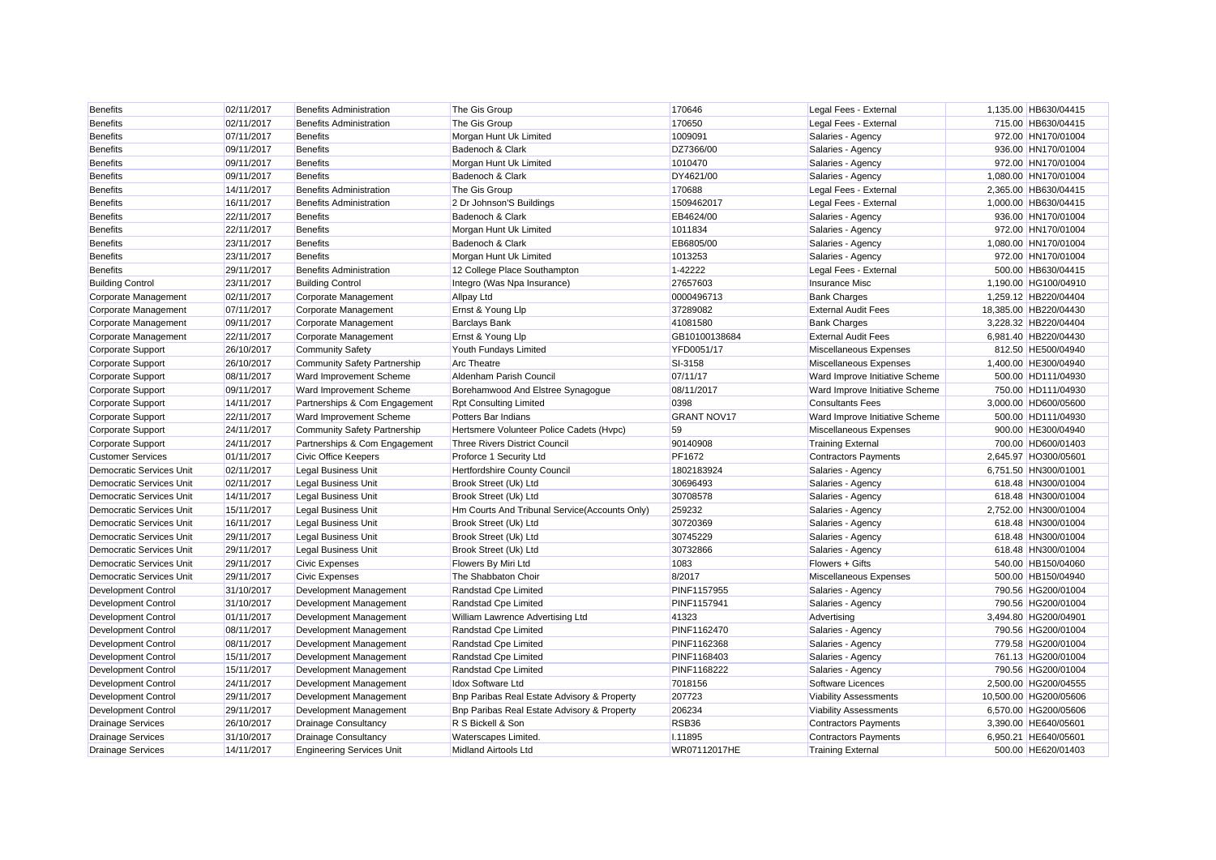| <b>Benefits</b>                 | 02/11/2017 | <b>Benefits Administration</b>      | The Gis Group                                 | 170646             | Legal Fees - External          | 1,135.00 HB630/04415  |
|---------------------------------|------------|-------------------------------------|-----------------------------------------------|--------------------|--------------------------------|-----------------------|
| <b>Benefits</b>                 | 02/11/2017 | <b>Benefits Administration</b>      | The Gis Group                                 | 170650             | Legal Fees - External          | 715.00 HB630/04415    |
| <b>Benefits</b>                 | 07/11/2017 | <b>Benefits</b>                     | Morgan Hunt Uk Limited                        | 1009091            | Salaries - Agency              | 972.00 HN170/01004    |
| <b>Benefits</b>                 | 09/11/2017 | <b>Benefits</b>                     | Badenoch & Clark                              | DZ7366/00          | Salaries - Agency              | 936.00 HN170/01004    |
| <b>Benefits</b>                 | 09/11/2017 | Benefits                            | Morgan Hunt Uk Limited                        | 1010470            | Salaries - Agency              | 972.00 HN170/01004    |
| <b>Benefits</b>                 | 09/11/2017 | <b>Benefits</b>                     | Badenoch & Clark                              | DY4621/00          | Salaries - Agency              | 1,080.00 HN170/01004  |
| <b>Benefits</b>                 | 14/11/2017 | <b>Benefits Administration</b>      | The Gis Group                                 | 170688             | Legal Fees - External          | 2.365.00 HB630/04415  |
| <b>Benefits</b>                 | 16/11/2017 | <b>Benefits Administration</b>      | 2 Dr Johnson'S Buildings                      | 1509462017         | Legal Fees - External          | 1,000.00 HB630/04415  |
| <b>Benefits</b>                 | 22/11/2017 | <b>Benefits</b>                     | Badenoch & Clark                              | EB4624/00          | Salaries - Agency              | 936.00 HN170/01004    |
| <b>Benefits</b>                 | 22/11/2017 | <b>Benefits</b>                     | Morgan Hunt Uk Limited                        | 1011834            | Salaries - Agency              | 972.00 HN170/01004    |
| <b>Benefits</b>                 | 23/11/2017 | <b>Benefits</b>                     | Badenoch & Clark                              | EB6805/00          | Salaries - Agency              | 1,080.00 HN170/01004  |
| <b>Benefits</b>                 | 23/11/2017 | <b>Benefits</b>                     | Morgan Hunt Uk Limited                        | 1013253            | Salaries - Agency              | 972.00 HN170/01004    |
| <b>Benefits</b>                 | 29/11/2017 | <b>Benefits Administration</b>      | 12 College Place Southampton                  | 1-42222            | Legal Fees - External          | 500.00 HB630/04415    |
| <b>Building Control</b>         | 23/11/2017 | <b>Building Control</b>             | Integro (Was Npa Insurance)                   | 27657603           | Insurance Misc                 | 1.190.00 HG100/04910  |
| Corporate Management            | 02/11/2017 | Corporate Management                | <b>Allpay Ltd</b>                             | 0000496713         | <b>Bank Charges</b>            | 1,259.12 HB220/04404  |
| Corporate Management            | 07/11/2017 | Corporate Management                | Ernst & Young Llp                             | 37289082           | <b>External Audit Fees</b>     | 18,385.00 HB220/04430 |
| Corporate Management            | 09/11/2017 | Corporate Management                | <b>Barclays Bank</b>                          | 41081580           | <b>Bank Charges</b>            | 3,228.32 HB220/04404  |
| Corporate Management            | 22/11/2017 | Corporate Management                | Ernst & Young Llp                             | GB10100138684      | <b>External Audit Fees</b>     | 6,981.40 HB220/04430  |
| Corporate Support               | 26/10/2017 | <b>Community Safety</b>             | Youth Fundays Limited                         | YFD0051/17         | Miscellaneous Expenses         | 812.50 HE500/04940    |
| Corporate Support               | 26/10/2017 | <b>Community Safety Partnership</b> | <b>Arc Theatre</b>                            | SI-3158            | Miscellaneous Expenses         | 1,400.00 HE300/04940  |
| Corporate Support               | 08/11/2017 | Ward Improvement Scheme             | Aldenham Parish Council                       | 07/11/17           | Ward Improve Initiative Scheme | 500.00 HD111/04930    |
| Corporate Support               | 09/11/2017 | Ward Improvement Scheme             | Borehamwood And Elstree Synagogue             | 08/11/2017         | Ward Improve Initiative Scheme | 750.00 HD111/04930    |
| Corporate Support               | 14/11/2017 | Partnerships & Com Engagement       | <b>Rpt Consulting Limited</b>                 | 0398               | <b>Consultants Fees</b>        | 3,000.00 HD600/05600  |
| Corporate Support               | 22/11/2017 | Ward Improvement Scheme             | Potters Bar Indians                           | <b>GRANT NOV17</b> | Ward Improve Initiative Scheme | 500.00 HD111/04930    |
| Corporate Support               | 24/11/2017 | <b>Community Safety Partnership</b> | Hertsmere Volunteer Police Cadets (Hvpc)      | 59                 | Miscellaneous Expenses         | 900.00 HE300/04940    |
| Corporate Support               | 24/11/2017 | Partnerships & Com Engagement       | <b>Three Rivers District Council</b>          | 90140908           | <b>Training External</b>       | 700.00 HD600/01403    |
| <b>Customer Services</b>        | 01/11/2017 | Civic Office Keepers                | Proforce 1 Security Ltd                       | PF1672             | <b>Contractors Payments</b>    | 2.645.97 HO300/05601  |
| <b>Democratic Services Unit</b> | 02/11/2017 | <b>Legal Business Unit</b>          | <b>Hertfordshire County Council</b>           | 1802183924         | Salaries - Agency              | 6.751.50 HN300/01001  |
| Democratic Services Unit        | 02/11/2017 | <b>Legal Business Unit</b>          | Brook Street (Uk) Ltd                         | 30696493           | Salaries - Agency              | 618.48 HN300/01004    |
| <b>Democratic Services Unit</b> | 14/11/2017 | <b>Legal Business Unit</b>          | Brook Street (Uk) Ltd                         | 30708578           | Salaries - Agency              | 618.48 HN300/01004    |
| <b>Democratic Services Unit</b> | 15/11/2017 | <b>Legal Business Unit</b>          | Hm Courts And Tribunal Service(Accounts Only) | 259232             | Salaries - Agency              | 2,752.00 HN300/01004  |
| Democratic Services Unit        | 16/11/2017 | <b>Legal Business Unit</b>          | Brook Street (Uk) Ltd                         | 30720369           | Salaries - Agency              | 618.48 HN300/01004    |
| Democratic Services Unit        | 29/11/2017 | <b>Legal Business Unit</b>          | Brook Street (Uk) Ltd                         | 30745229           | Salaries - Agency              | 618.48 HN300/01004    |
| <b>Democratic Services Unit</b> | 29/11/2017 | <b>Legal Business Unit</b>          | Brook Street (Uk) Ltd                         | 30732866           | Salaries - Agency              | 618.48 HN300/01004    |
| <b>Democratic Services Unit</b> | 29/11/2017 | <b>Civic Expenses</b>               | Flowers By Miri Ltd                           | 1083               | Flowers + Gifts                | 540.00 HB150/04060    |
| Democratic Services Unit        | 29/11/2017 | <b>Civic Expenses</b>               | The Shabbaton Choir                           | 8/2017             | Miscellaneous Expenses         | 500.00 HB150/04940    |
| <b>Development Control</b>      | 31/10/2017 | Development Management              | Randstad Cpe Limited                          | PINF1157955        | Salaries - Agency              | 790.56 HG200/01004    |
| <b>Development Control</b>      | 31/10/2017 | Development Management              | Randstad Cpe Limited                          | PINF1157941        | Salaries - Agency              | 790.56 HG200/01004    |
| Development Control             | 01/11/2017 | Development Management              | William Lawrence Advertising Ltd              | 41323              | Advertising                    | 3,494.80 HG200/04901  |
| <b>Development Control</b>      | 08/11/2017 | Development Management              | Randstad Cpe Limited                          | PINF1162470        | Salaries - Agency              | 790.56 HG200/01004    |
| <b>Development Control</b>      | 08/11/2017 | Development Management              | Randstad Cpe Limited                          | PINF1162368        | Salaries - Agency              | 779.58 HG200/01004    |
| <b>Development Control</b>      | 15/11/2017 | Development Management              | Randstad Cpe Limited                          | PINF1168403        | Salaries - Agency              | 761.13 HG200/01004    |
| <b>Development Control</b>      | 15/11/2017 | Development Management              | Randstad Cpe Limited                          | PINF1168222        | Salaries - Agency              | 790.56 HG200/01004    |
| <b>Development Control</b>      | 24/11/2017 | Development Management              | <b>Idox Software Ltd</b>                      | 7018156            | Software Licences              | 2,500.00 HG200/04555  |
| <b>Development Control</b>      | 29/11/2017 | Development Management              | Bnp Paribas Real Estate Advisory & Property   | 207723             | <b>Viability Assessments</b>   | 10,500.00 HG200/05606 |
| Development Control             | 29/11/2017 | Development Management              | Bnp Paribas Real Estate Advisory & Property   | 206234             | <b>Viability Assessments</b>   | 6,570.00 HG200/05606  |
| <b>Drainage Services</b>        | 26/10/2017 | <b>Drainage Consultancy</b>         | R S Bickell & Son                             | RSB36              | <b>Contractors Payments</b>    | 3,390.00 HE640/05601  |
| <b>Drainage Services</b>        | 31/10/2017 | <b>Drainage Consultancy</b>         | Waterscapes Limited.                          | I.11895            | <b>Contractors Payments</b>    | 6.950.21 HE640/05601  |
| <b>Drainage Services</b>        | 14/11/2017 | <b>Engineering Services Unit</b>    | <b>Midland Airtools Ltd</b>                   | WR07112017HE       | <b>Training External</b>       | 500.00 HE620/01403    |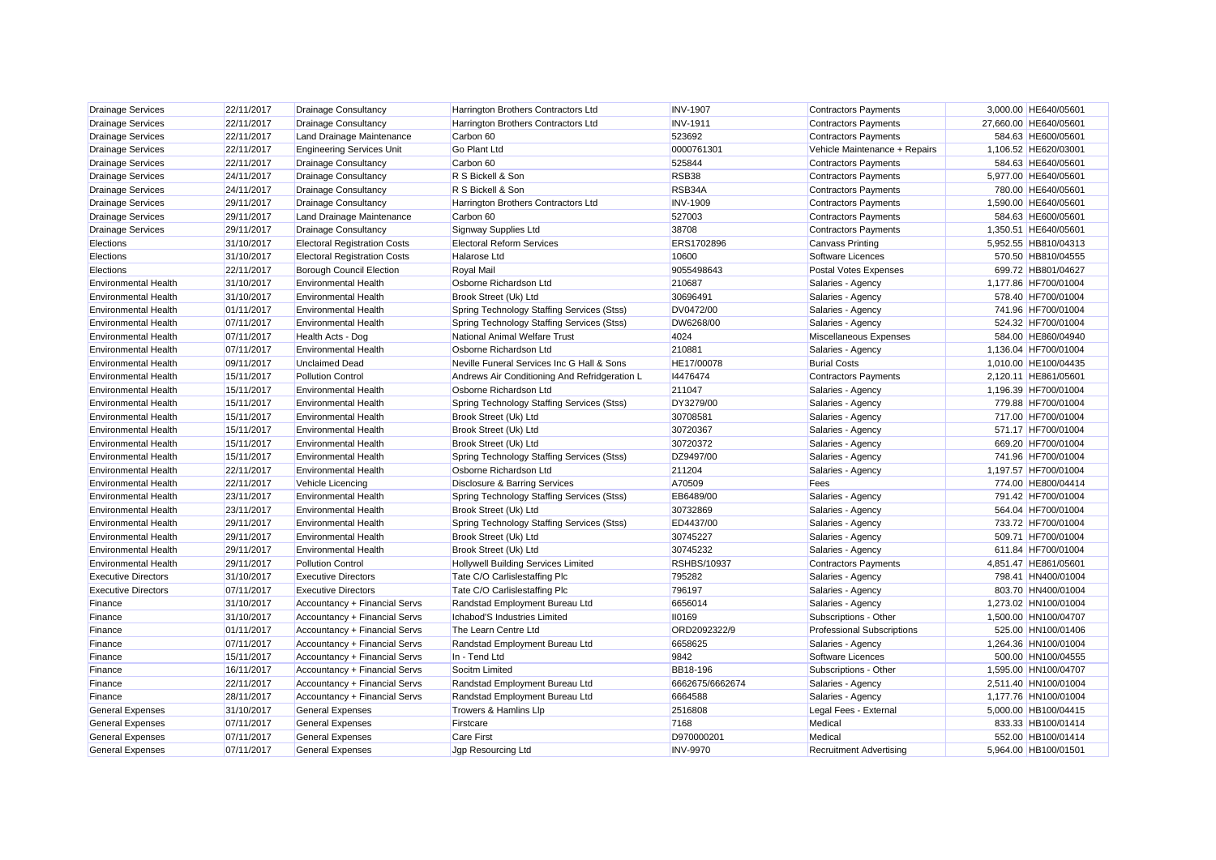| <b>Drainage Services</b>    | 22/11/2017 | <b>Drainage Consultancy</b>         | Harrington Brothers Contractors Ltd           | <b>INV-1907</b>    | <b>Contractors Payments</b>       | 3,000.00 HE640/05601  |
|-----------------------------|------------|-------------------------------------|-----------------------------------------------|--------------------|-----------------------------------|-----------------------|
| <b>Drainage Services</b>    | 22/11/2017 | <b>Drainage Consultancy</b>         | Harrington Brothers Contractors Ltd           | <b>INV-1911</b>    | <b>Contractors Payments</b>       | 27,660.00 HE640/05601 |
| <b>Drainage Services</b>    | 22/11/2017 | Land Drainage Maintenance           | Carbon 60                                     | 523692             | <b>Contractors Payments</b>       | 584.63 HE600/05601    |
| <b>Drainage Services</b>    | 22/11/2017 | <b>Engineering Services Unit</b>    | <b>Go Plant Ltd</b>                           | 0000761301         | Vehicle Maintenance + Repairs     | 1,106.52 HE620/03001  |
| <b>Drainage Services</b>    | 22/11/2017 | <b>Drainage Consultancy</b>         | Carbon 60                                     | 525844             | <b>Contractors Payments</b>       | 584.63 HE640/05601    |
| <b>Drainage Services</b>    | 24/11/2017 | <b>Drainage Consultancy</b>         | R S Bickell & Son                             | RSB <sub>38</sub>  | <b>Contractors Payments</b>       | 5,977.00 HE640/05601  |
| <b>Drainage Services</b>    | 24/11/2017 | <b>Drainage Consultancy</b>         | R S Bickell & Son                             | RSB34A             | <b>Contractors Payments</b>       | 780.00 HE640/05601    |
| <b>Drainage Services</b>    | 29/11/2017 | <b>Drainage Consultancy</b>         | Harrington Brothers Contractors Ltd           | <b>INV-1909</b>    | <b>Contractors Payments</b>       | 1,590.00 HE640/05601  |
| <b>Drainage Services</b>    | 29/11/2017 | Land Drainage Maintenance           | Carbon 60                                     | 527003             | <b>Contractors Payments</b>       | 584.63 HE600/05601    |
| Drainage Services           | 29/11/2017 | <b>Drainage Consultancy</b>         | Signway Supplies Ltd                          | 38708              | <b>Contractors Payments</b>       | 1,350.51 HE640/05601  |
| Elections                   | 31/10/2017 | <b>Electoral Registration Costs</b> | <b>Electoral Reform Services</b>              | ERS1702896         | <b>Canvass Printing</b>           | 5,952.55 HB810/04313  |
| Elections                   | 31/10/2017 | <b>Electoral Registration Costs</b> | Halarose Ltd                                  | 10600              | Software Licences                 | 570.50 HB810/04555    |
| Elections                   | 22/11/2017 | <b>Borough Council Election</b>     | <b>Royal Mail</b>                             | 9055498643         | <b>Postal Votes Expenses</b>      | 699.72 HB801/04627    |
| Environmental Health        | 31/10/2017 | <b>Environmental Health</b>         | Osborne Richardson Ltd                        | 210687             | Salaries - Agency                 | 1.177.86 HF700/01004  |
| <b>Environmental Health</b> | 31/10/2017 | <b>Environmental Health</b>         | Brook Street (Uk) Ltd                         | 30696491           | Salaries - Agency                 | 578.40 HF700/01004    |
| <b>Environmental Health</b> | 01/11/2017 | <b>Environmental Health</b>         | Spring Technology Staffing Services (Stss)    | DV0472/00          | Salaries - Agency                 | 741.96 HF700/01004    |
| <b>Environmental Health</b> | 07/11/2017 | <b>Environmental Health</b>         | Spring Technology Staffing Services (Stss)    | DW6268/00          | Salaries - Agency                 | 524.32 HF700/01004    |
| <b>Environmental Health</b> | 07/11/2017 | Health Acts - Dog                   | National Animal Welfare Trust                 | 4024               | Miscellaneous Expenses            | 584.00 HE860/04940    |
| <b>Environmental Health</b> | 07/11/2017 | <b>Environmental Health</b>         | Osborne Richardson Ltd                        | 210881             | Salaries - Agency                 | 1,136.04 HF700/01004  |
| <b>Environmental Health</b> | 09/11/2017 | <b>Unclaimed Dead</b>               | Neville Funeral Services Inc G Hall & Sons    | HE17/00078         | <b>Burial Costs</b>               | 1,010.00 HE100/04435  |
| <b>Environmental Health</b> | 15/11/2017 | <b>Pollution Control</b>            | Andrews Air Conditioning And Refridgeration L | 14476474           | <b>Contractors Payments</b>       | 2,120.11 HE861/05601  |
| <b>Environmental Health</b> | 15/11/2017 | <b>Environmental Health</b>         | Osborne Richardson Ltd                        | 211047             | Salaries - Agency                 | 1,196.39 HF700/01004  |
| <b>Environmental Health</b> | 15/11/2017 | <b>Environmental Health</b>         | Spring Technology Staffing Services (Stss)    | DY3279/00          | Salaries - Agency                 | 779.88 HF700/01004    |
| <b>Environmental Health</b> | 15/11/2017 | <b>Environmental Health</b>         | Brook Street (Uk) Ltd                         | 30708581           | Salaries - Agency                 | 717.00 HF700/01004    |
| <b>Environmental Health</b> | 15/11/2017 | <b>Environmental Health</b>         | Brook Street (Uk) Ltd                         | 30720367           | Salaries - Agency                 | 571.17 HF700/01004    |
| <b>Environmental Health</b> | 15/11/2017 | <b>Environmental Health</b>         | Brook Street (Uk) Ltd                         | 30720372           | Salaries - Agency                 | 669.20 HF700/01004    |
| <b>Environmental Health</b> | 15/11/2017 | <b>Environmental Health</b>         | Spring Technology Staffing Services (Stss)    | DZ9497/00          | Salaries - Agency                 | 741.96 HF700/01004    |
| <b>Environmental Health</b> | 22/11/2017 | <b>Environmental Health</b>         | Osborne Richardson Ltd                        | 211204             | Salaries - Agency                 | 1,197.57 HF700/01004  |
| <b>Environmental Health</b> | 22/11/2017 | Vehicle Licencing                   | Disclosure & Barring Services                 | A70509             | Fees                              | 774.00 HE800/04414    |
| <b>Environmental Health</b> | 23/11/2017 | <b>Environmental Health</b>         | Spring Technology Staffing Services (Stss)    | EB6489/00          | Salaries - Agency                 | 791.42 HF700/01004    |
| <b>Environmental Health</b> | 23/11/2017 | <b>Environmental Health</b>         | Brook Street (Uk) Ltd                         | 30732869           | Salaries - Agency                 | 564.04 HF700/01004    |
| <b>Environmental Health</b> | 29/11/2017 | <b>Environmental Health</b>         | Spring Technology Staffing Services (Stss)    | ED4437/00          | Salaries - Agency                 | 733.72 HF700/01004    |
| <b>Environmental Health</b> | 29/11/2017 | <b>Environmental Health</b>         | Brook Street (Uk) Ltd                         | 30745227           | Salaries - Agency                 | 509.71 HF700/01004    |
| <b>Environmental Health</b> | 29/11/2017 | <b>Environmental Health</b>         | Brook Street (Uk) Ltd                         | 30745232           | Salaries - Agency                 | 611.84 HF700/01004    |
| <b>Environmental Health</b> | 29/11/2017 | <b>Pollution Control</b>            | <b>Hollywell Building Services Limited</b>    | <b>RSHBS/10937</b> | <b>Contractors Payments</b>       | 4,851.47 HE861/05601  |
| <b>Executive Directors</b>  | 31/10/2017 | <b>Executive Directors</b>          | Tate C/O Carlislestaffing Plc                 | 795282             | Salaries - Agency                 | 798.41 HN400/01004    |
| <b>Executive Directors</b>  | 07/11/2017 | <b>Executive Directors</b>          | Tate C/O Carlislestaffing Plc                 | 796197             | Salaries - Agency                 | 803.70 HN400/01004    |
| Finance                     | 31/10/2017 | Accountancy + Financial Servs       | Randstad Employment Bureau Ltd                | 6656014            | Salaries - Agency                 | 1,273.02 HN100/01004  |
| Finance                     | 31/10/2017 | Accountancy + Financial Servs       | Ichabod'S Industries Limited                  | 110169             | Subscriptions - Other             | 1,500.00 HN100/04707  |
| Finance                     | 01/11/2017 | Accountancy + Financial Servs       | The Learn Centre Ltd                          | ORD2092322/9       | <b>Professional Subscriptions</b> | 525.00 HN100/01406    |
| Finance                     | 07/11/2017 | Accountancy + Financial Servs       | Randstad Employment Bureau Ltd                | 6658625            | Salaries - Agency                 | 1,264.36 HN100/01004  |
| Finance                     | 15/11/2017 | Accountancy + Financial Servs       | In - Tend Ltd                                 | 9842               | Software Licences                 | 500.00 HN100/04555    |
| Finance                     | 16/11/2017 | Accountancy + Financial Servs       | Socitm Limited                                | BB18-196           | Subscriptions - Other             | 1,595.00 HN100/04707  |
| Finance                     | 22/11/2017 | Accountancy + Financial Servs       | Randstad Employment Bureau Ltd                | 6662675/6662674    | Salaries - Agency                 | 2,511.40 HN100/01004  |
| Finance                     | 28/11/2017 | Accountancy + Financial Servs       | Randstad Employment Bureau Ltd                | 6664588            | Salaries - Agency                 | 1.177.76 HN100/01004  |
| <b>General Expenses</b>     | 31/10/2017 | <b>General Expenses</b>             | Trowers & Hamlins Llp                         | 2516808            | Legal Fees - External             | 5,000.00 HB100/04415  |
| <b>General Expenses</b>     | 07/11/2017 | <b>General Expenses</b>             | Firstcare                                     | 7168               | Medical                           | 833.33 HB100/01414    |
| <b>General Expenses</b>     | 07/11/2017 | <b>General Expenses</b>             | <b>Care First</b>                             | D970000201         | Medical                           | 552.00 HB100/01414    |
| <b>General Expenses</b>     | 07/11/2017 | <b>General Expenses</b>             | Jap Resourcina Ltd                            | <b>INV-9970</b>    | <b>Recruitment Advertising</b>    | 5.964.00 HB100/01501  |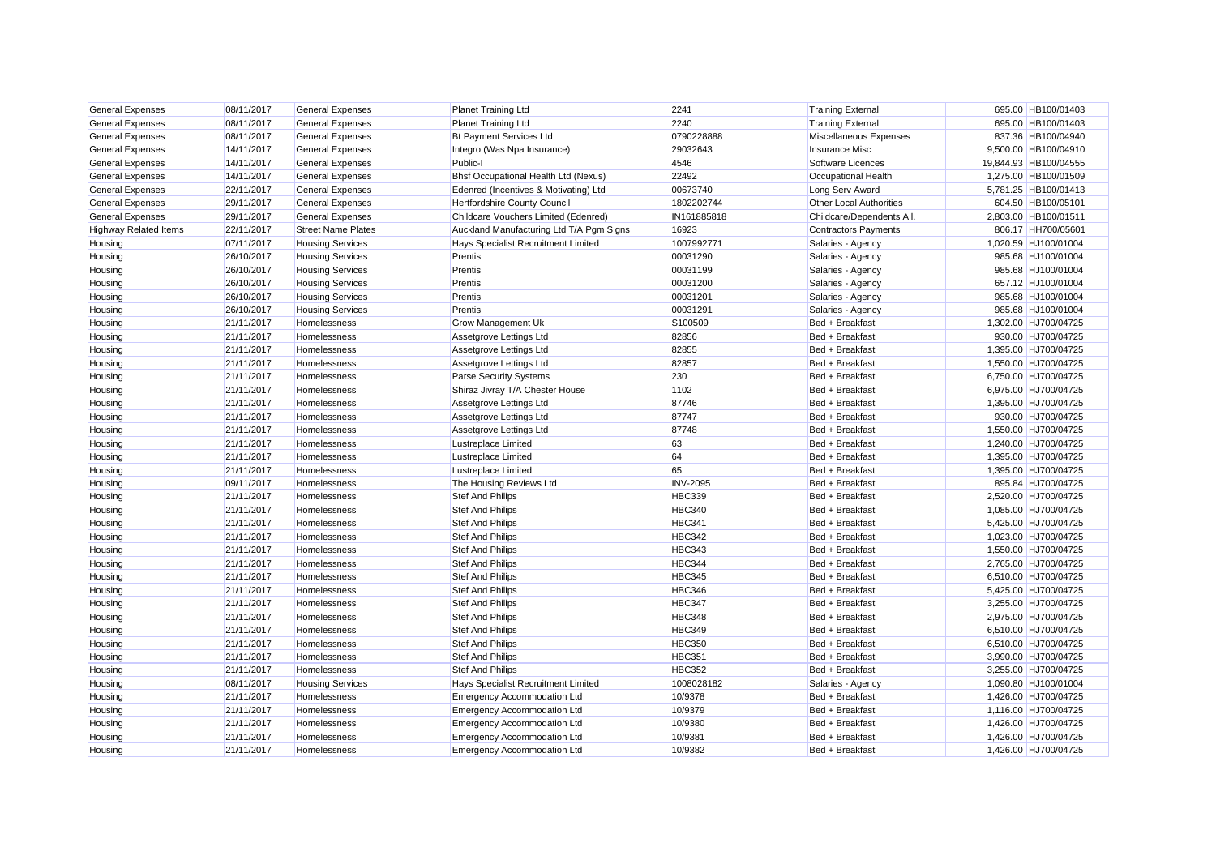| <b>General Expenses</b>      | 08/11/2017 | <b>General Expenses</b>   | <b>Planet Training Ltd</b>                  | 2241            | <b>Training External</b>       | 695.00 HB100/01403    |
|------------------------------|------------|---------------------------|---------------------------------------------|-----------------|--------------------------------|-----------------------|
| <b>General Expenses</b>      | 08/11/2017 | <b>General Expenses</b>   | <b>Planet Training Ltd</b>                  | 2240            | <b>Training External</b>       | 695.00 HB100/01403    |
| <b>General Expenses</b>      | 08/11/2017 | <b>General Expenses</b>   | <b>Bt Payment Services Ltd</b>              | 0790228888      | Miscellaneous Expenses         | 837.36 HB100/04940    |
| <b>General Expenses</b>      | 14/11/2017 | <b>General Expenses</b>   | Integro (Was Npa Insurance)                 | 29032643        | <b>Insurance Misc</b>          | 9,500.00 HB100/04910  |
| <b>General Expenses</b>      | 14/11/2017 | <b>General Expenses</b>   | Public-I                                    | 4546            | Software Licences              | 19,844.93 HB100/04555 |
| <b>General Expenses</b>      | 14/11/2017 | <b>General Expenses</b>   | <b>Bhsf Occupational Health Ltd (Nexus)</b> | 22492           | Occupational Health            | 1,275.00 HB100/01509  |
| <b>General Expenses</b>      | 22/11/2017 | <b>General Expenses</b>   | Edenred (Incentives & Motivating) Ltd       | 00673740        | Long Serv Award                | 5,781.25 HB100/01413  |
| <b>General Expenses</b>      | 29/11/2017 | <b>General Expenses</b>   | Hertfordshire County Council                | 1802202744      | <b>Other Local Authorities</b> | 604.50 HB100/05101    |
| <b>General Expenses</b>      | 29/11/2017 | <b>General Expenses</b>   | Childcare Vouchers Limited (Edenred)        | IN161885818     | Childcare/Dependents All.      | 2,803.00 HB100/01511  |
| <b>Highway Related Items</b> | 22/11/2017 | <b>Street Name Plates</b> | Auckland Manufacturing Ltd T/A Pgm Signs    | 16923           | <b>Contractors Payments</b>    | 806.17 HH700/05601    |
| Housing                      | 07/11/2017 | <b>Housing Services</b>   | Hays Specialist Recruitment Limited         | 1007992771      | Salaries - Agency              | 1,020.59 HJ100/01004  |
| Housing                      | 26/10/2017 | <b>Housing Services</b>   | Prentis                                     | 00031290        | Salaries - Agency              | 985.68 HJ100/01004    |
| Housing                      | 26/10/2017 | <b>Housing Services</b>   | Prentis                                     | 00031199        | Salaries - Agency              | 985.68 HJ100/01004    |
| Housing                      | 26/10/2017 | <b>Housing Services</b>   | Prentis                                     | 00031200        | Salaries - Agency              | 657.12 HJ100/01004    |
| Housing                      | 26/10/2017 | <b>Housing Services</b>   | Prentis                                     | 00031201        | Salaries - Agency              | 985.68 HJ100/01004    |
| Housing                      | 26/10/2017 | <b>Housing Services</b>   | Prentis                                     | 00031291        | Salaries - Agency              | 985.68 HJ100/01004    |
| Housing                      | 21/11/2017 | Homelessness              | <b>Grow Management Uk</b>                   | S100509         | Bed + Breakfast                | 1,302.00 HJ700/04725  |
| Housing                      | 21/11/2017 | Homelessness              | Assetgrove Lettings Ltd                     | 82856           | Bed + Breakfast                | 930.00 HJ700/04725    |
| Housing                      | 21/11/2017 | Homelessness              | Assetgrove Lettings Ltd                     | 82855           | Bed + Breakfast                | 1,395.00 HJ700/04725  |
| Housing                      | 21/11/2017 | Homelessness              | Assetgrove Lettings Ltd                     | 82857           | Bed + Breakfast                | 1,550.00 HJ700/04725  |
| Housing                      | 21/11/2017 | <b>Homelessness</b>       | Parse Security Systems                      | 230             | Bed + Breakfast                | 6,750.00 HJ700/04725  |
| Housing                      | 21/11/2017 | Homelessness              | Shiraz Jivray T/A Chester House             | 1102            | Bed + Breakfast                | 6,975.00 HJ700/04725  |
| Housing                      | 21/11/2017 | Homelessness              | Assetgrove Lettings Ltd                     | 87746           | Bed + Breakfast                | 1,395.00 HJ700/04725  |
| Housing                      | 21/11/2017 | Homelessness              | Assetgrove Lettings Ltd                     | 87747           | Bed + Breakfast                | 930.00 HJ700/04725    |
| Housing                      | 21/11/2017 | Homelessness              | Assetgrove Lettings Ltd                     | 87748           | Bed + Breakfast                | 1,550.00 HJ700/04725  |
| Housing                      | 21/11/2017 | Homelessness              | Lustreplace Limited                         | 63              | Bed + Breakfast                | 1,240.00 HJ700/04725  |
| Housing                      | 21/11/2017 | Homelessness              | Lustreplace Limited                         | 64              | Bed + Breakfast                | 1,395.00 HJ700/04725  |
| Housing                      | 21/11/2017 | Homelessness              | Lustreplace Limited                         | 65              | Bed + Breakfast                | 1,395.00 HJ700/04725  |
| Housing                      | 09/11/2017 | Homelessness              | The Housing Reviews Ltd                     | <b>INV-2095</b> | Bed + Breakfast                | 895.84 HJ700/04725    |
| Housing                      | 21/11/2017 | Homelessness              | <b>Stef And Philips</b>                     | <b>HBC339</b>   | Bed + Breakfast                | 2,520.00 HJ700/04725  |
| Housing                      | 21/11/2017 | Homelessness              | <b>Stef And Philips</b>                     | <b>HBC340</b>   | Bed + Breakfast                | 1,085.00 HJ700/04725  |
| Housing                      | 21/11/2017 | Homelessness              | Stef And Philips                            | <b>HBC341</b>   | Bed + Breakfast                | 5,425.00 HJ700/04725  |
| Housing                      | 21/11/2017 | Homelessness              | Stef And Philips                            | <b>HBC342</b>   | Bed + Breakfast                | 1,023.00 HJ700/04725  |
| Housing                      | 21/11/2017 | Homelessness              | <b>Stef And Philips</b>                     | <b>HBC343</b>   | Bed + Breakfast                | 1,550.00 HJ700/04725  |
| Housing                      | 21/11/2017 | Homelessness              | Stef And Philips                            | <b>HBC344</b>   | Bed + Breakfast                | 2,765.00 HJ700/04725  |
| Housing                      | 21/11/2017 | Homelessness              | <b>Stef And Philips</b>                     | <b>HBC345</b>   | Bed + Breakfast                | 6,510.00 HJ700/04725  |
| Housing                      | 21/11/2017 | Homelessness              | <b>Stef And Philips</b>                     | <b>HBC346</b>   | Bed + Breakfast                | 5,425.00 HJ700/04725  |
| Housing                      | 21/11/2017 | Homelessness              | <b>Stef And Philips</b>                     | HBC347          | Bed + Breakfast                | 3,255.00 HJ700/04725  |
| Housing                      | 21/11/2017 | Homelessness              | <b>Stef And Philips</b>                     | <b>HBC348</b>   | Bed + Breakfast                | 2,975.00 HJ700/04725  |
| Housing                      | 21/11/2017 | Homelessness              | <b>Stef And Philips</b>                     | <b>HBC349</b>   | Bed + Breakfast                | 6,510.00 HJ700/04725  |
| Housing                      | 21/11/2017 | Homelessness              | <b>Stef And Philips</b>                     | <b>HBC350</b>   | Bed + Breakfast                | 6,510.00 HJ700/04725  |
| Housing                      | 21/11/2017 | Homelessness              | <b>Stef And Philips</b>                     | <b>HBC351</b>   | Bed + Breakfast                | 3,990.00 HJ700/04725  |
| Housing                      | 21/11/2017 | <b>Homelessness</b>       | <b>Stef And Philips</b>                     | <b>HBC352</b>   | Bed + Breakfast                | 3,255.00 HJ700/04725  |
| Housing                      | 08/11/2017 | <b>Housing Services</b>   | Hays Specialist Recruitment Limited         | 1008028182      | Salaries - Agency              | 1,090.80 HJ100/01004  |
| Housing                      | 21/11/2017 | Homelessness              | <b>Emergency Accommodation Ltd</b>          | 10/9378         | Bed + Breakfast                | 1,426.00 HJ700/04725  |
| Housing                      | 21/11/2017 | Homelessness              | Emergency Accommodation Ltd                 | 10/9379         | Bed + Breakfast                | 1,116.00 HJ700/04725  |
| Housing                      | 21/11/2017 | Homelessness              | <b>Emergency Accommodation Ltd</b>          | 10/9380         | Bed + Breakfast                | 1,426.00 HJ700/04725  |
| Housing                      | 21/11/2017 | Homelessness              | <b>Emergency Accommodation Ltd</b>          | 10/9381         | Bed + Breakfast                | 1,426.00 HJ700/04725  |
| Housing                      | 21/11/2017 | Homelessness              | <b>Emergency Accommodation Ltd</b>          | 10/9382         | Bed + Breakfast                | 1.426.00 HJ700/04725  |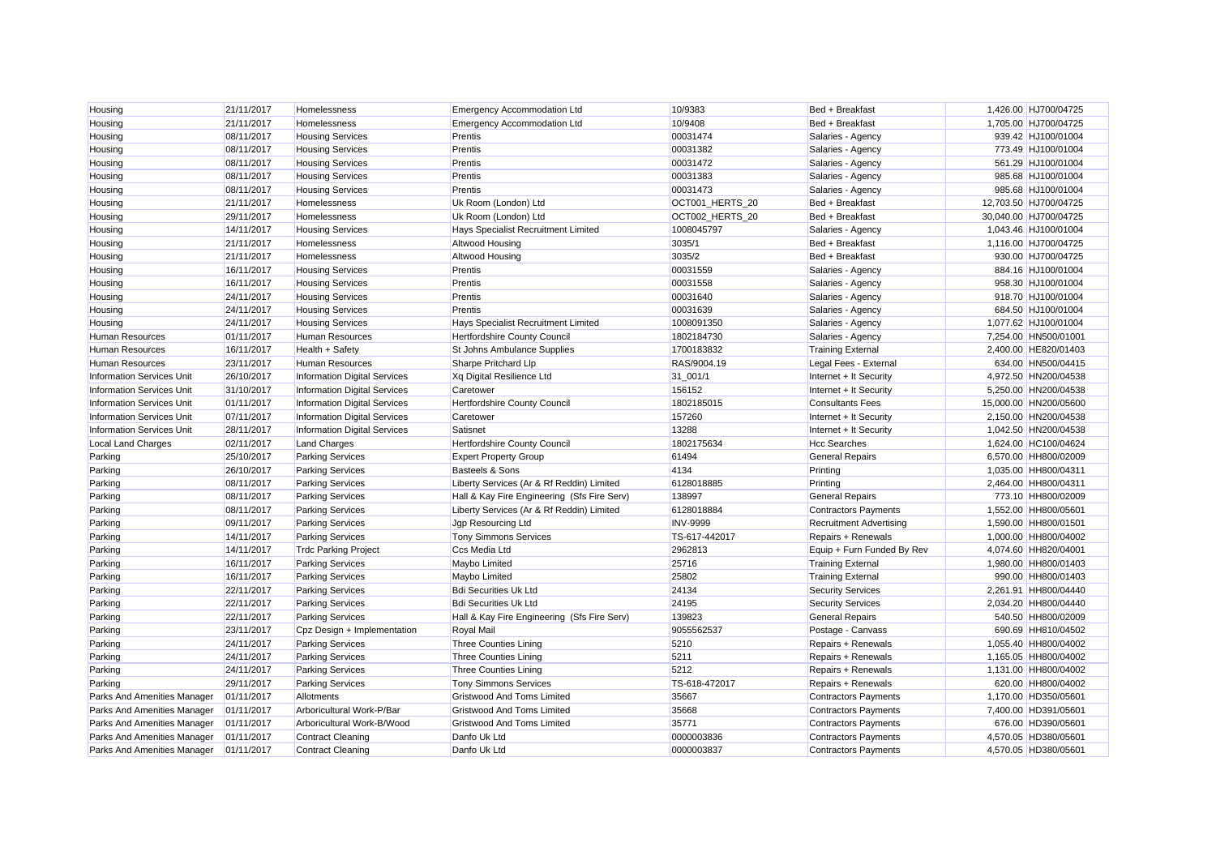| Housing                          | 21/11/2017 | Homelessness                        | <b>Emergency Accommodation Ltd</b>          | 10/9383         | Bed + Breakfast                | 1,426.00 HJ700/04725  |
|----------------------------------|------------|-------------------------------------|---------------------------------------------|-----------------|--------------------------------|-----------------------|
| Housing                          | 21/11/2017 | Homelessness                        | <b>Emergency Accommodation Ltd</b>          | 10/9408         | Bed + Breakfast                | 1,705.00 HJ700/04725  |
| Housing                          | 08/11/2017 | <b>Housing Services</b>             | Prentis                                     | 00031474        | Salaries - Agency              | 939.42 HJ100/01004    |
| Housing                          | 08/11/2017 | <b>Housing Services</b>             | Prentis                                     | 00031382        | Salaries - Agency              | 773.49 HJ100/01004    |
| Housing                          | 08/11/2017 | <b>Housing Services</b>             | Prentis                                     | 00031472        | Salaries - Agency              | 561.29 HJ100/01004    |
| Housing                          | 08/11/2017 | <b>Housing Services</b>             | Prentis                                     | 00031383        | Salaries - Agency              | 985.68 HJ100/01004    |
| Housing                          | 08/11/2017 | <b>Housing Services</b>             | Prentis                                     | 00031473        | Salaries - Agency              | 985.68 HJ100/01004    |
| Housing                          | 21/11/2017 | Homelessness                        | Uk Room (London) Ltd                        | OCT001_HERTS_20 | Bed + Breakfast                | 12,703.50 HJ700/04725 |
| Housing                          | 29/11/2017 | Homelessness                        | Uk Room (London) Ltd                        | OCT002_HERTS_20 | Bed + Breakfast                | 30,040.00 HJ700/04725 |
| Housing                          | 14/11/2017 | <b>Housing Services</b>             | Hays Specialist Recruitment Limited         | 1008045797      | Salaries - Agency              | 1,043.46 HJ100/01004  |
| Housing                          | 21/11/2017 | Homelessness                        | Altwood Housing                             | 3035/1          | Bed + Breakfast                | 1,116.00 HJ700/04725  |
| Housing                          | 21/11/2017 | Homelessness                        | Altwood Housing                             | 3035/2          | Bed + Breakfast                | 930.00 HJ700/04725    |
| Housing                          | 16/11/2017 | <b>Housing Services</b>             | Prentis                                     | 00031559        | Salaries - Agency              | 884.16 HJ100/01004    |
| Housing                          | 16/11/2017 | <b>Housing Services</b>             | Prentis                                     | 00031558        | Salaries - Agency              | 958.30 HJ100/01004    |
| Housing                          | 24/11/2017 | <b>Housing Services</b>             | Prentis                                     | 00031640        | Salaries - Agency              | 918.70 HJ100/01004    |
| Housing                          | 24/11/2017 | <b>Housing Services</b>             | Prentis                                     | 00031639        | Salaries - Agency              | 684.50 HJ100/01004    |
| Housing                          | 24/11/2017 | <b>Housing Services</b>             | Hays Specialist Recruitment Limited         | 1008091350      | Salaries - Agency              | 1,077.62 HJ100/01004  |
| <b>Human Resources</b>           | 01/11/2017 | <b>Human Resources</b>              | Hertfordshire County Council                | 1802184730      | Salaries - Agency              | 7,254.00 HN500/01001  |
| <b>Human Resources</b>           | 16/11/2017 | Health + Safety                     | St Johns Ambulance Supplies                 | 1700183832      | <b>Training External</b>       | 2,400.00 HE820/01403  |
| <b>Human Resources</b>           | 23/11/2017 | <b>Human Resources</b>              | Sharpe Pritchard Llp                        | RAS/9004.19     | Legal Fees - External          | 634.00 HN500/04415    |
| <b>Information Services Unit</b> | 26/10/2017 | <b>Information Digital Services</b> | Xq Digital Resilience Ltd                   | 31 001/1        | Internet + It Security         | 4,972.50 HN200/04538  |
| <b>Information Services Unit</b> | 31/10/2017 | <b>Information Digital Services</b> | Caretower                                   | 156152          | Internet + It Security         | 5,250.00 HN200/04538  |
| <b>Information Services Unit</b> | 01/11/2017 | <b>Information Digital Services</b> | Hertfordshire County Council                | 1802185015      | <b>Consultants Fees</b>        | 15,000.00 HN200/05600 |
| <b>Information Services Unit</b> | 07/11/2017 | <b>Information Digital Services</b> | Caretower                                   | 157260          | Internet + It Security         | 2,150.00 HN200/04538  |
| <b>Information Services Unit</b> | 28/11/2017 | <b>Information Digital Services</b> | Satisnet                                    | 13288           | Internet + It Security         | 1,042.50 HN200/04538  |
| Local Land Charges               | 02/11/2017 | <b>Land Charges</b>                 | Hertfordshire County Council                | 1802175634      | <b>Hcc Searches</b>            | 1,624.00 HC100/04624  |
| Parking                          | 25/10/2017 | <b>Parking Services</b>             | <b>Expert Property Group</b>                | 61494           | <b>General Repairs</b>         | 6,570.00 HH800/02009  |
| Parking                          | 26/10/2017 | <b>Parking Services</b>             | <b>Basteels &amp; Sons</b>                  | 4134            | Printing                       | 1.035.00 HH800/04311  |
| Parking                          | 08/11/2017 | <b>Parking Services</b>             | Liberty Services (Ar & Rf Reddin) Limited   | 6128018885      | Printing                       | 2,464.00 HH800/04311  |
| Parking                          | 08/11/2017 | <b>Parking Services</b>             | Hall & Kay Fire Engineering (Sfs Fire Serv) | 138997          | <b>General Repairs</b>         | 773.10 HH800/02009    |
| Parking                          | 08/11/2017 | <b>Parking Services</b>             | Liberty Services (Ar & Rf Reddin) Limited   | 6128018884      | <b>Contractors Payments</b>    | 1,552.00 HH800/05601  |
| Parking                          | 09/11/2017 | <b>Parking Services</b>             | Jgp Resourcing Ltd                          | <b>INV-9999</b> | <b>Recruitment Advertising</b> | 1,590.00 HH800/01501  |
| Parking                          | 14/11/2017 | <b>Parking Services</b>             | <b>Tony Simmons Services</b>                | TS-617-442017   | Repairs + Renewals             | 1,000.00 HH800/04002  |
| Parking                          | 14/11/2017 | <b>Trdc Parking Project</b>         | Ccs Media Ltd                               | 2962813         | Equip + Furn Funded By Rev     | 4,074.60 HH820/04001  |
| Parking                          | 16/11/2017 | <b>Parking Services</b>             | Maybo Limited                               | 25716           | <b>Training External</b>       | 1,980.00 HH800/01403  |
| Parking                          | 16/11/2017 | <b>Parking Services</b>             | Maybo Limited                               | 25802           | <b>Training External</b>       | 990.00 HH800/01403    |
| Parking                          | 22/11/2017 | <b>Parking Services</b>             | <b>Bdi Securities Uk Ltd</b>                | 24134           | <b>Security Services</b>       | 2,261.91 HH800/04440  |
| Parking                          | 22/11/2017 | <b>Parking Services</b>             | <b>Bdi Securities Uk Ltd</b>                | 24195           | <b>Security Services</b>       | 2,034.20 HH800/04440  |
| Parking                          | 22/11/2017 | <b>Parking Services</b>             | Hall & Kay Fire Engineering (Sfs Fire Serv) | 139823          | <b>General Repairs</b>         | 540.50 HH800/02009    |
| Parking                          | 23/11/2017 | Cpz Design + Implementation         | Royal Mail                                  | 9055562537      | Postage - Canvass              | 690.69 HH810/04502    |
| Parking                          | 24/11/2017 | <b>Parking Services</b>             | <b>Three Counties Lining</b>                | 5210            | Repairs + Renewals             | 1,055.40 HH800/04002  |
| Parking                          | 24/11/2017 | <b>Parking Services</b>             | <b>Three Counties Lining</b>                | 5211            | Repairs + Renewals             | 1,165.05 HH800/04002  |
| Parking                          | 24/11/2017 | <b>Parking Services</b>             | <b>Three Counties Lining</b>                | 5212            | Repairs + Renewals             | 1,131.00 HH800/04002  |
| Parking                          | 29/11/2017 | <b>Parking Services</b>             | <b>Tony Simmons Services</b>                | TS-618-472017   | Repairs + Renewals             | 620.00 HH800/04002    |
| Parks And Amenities Manager      | 01/11/2017 | Allotments                          | Gristwood And Toms Limited                  | 35667           | <b>Contractors Payments</b>    | 1,170.00 HD350/05601  |
| Parks And Amenities Manager      | 01/11/2017 | Arboricultural Work-P/Bar           | Gristwood And Toms Limited                  | 35668           | <b>Contractors Payments</b>    | 7,400.00 HD391/05601  |
| Parks And Amenities Manager      | 01/11/2017 | Arboricultural Work-B/Wood          | Gristwood And Toms Limited                  | 35771           | <b>Contractors Payments</b>    | 676.00 HD390/05601    |
| Parks And Amenities Manager      | 01/11/2017 | <b>Contract Cleaning</b>            | Danfo Uk Ltd                                | 0000003836      | <b>Contractors Payments</b>    | 4,570.05 HD380/05601  |
| Parks And Amenities Manager      | 01/11/2017 | <b>Contract Cleaning</b>            | Danfo Uk Ltd                                | 0000003837      | <b>Contractors Payments</b>    | 4.570.05 HD380/05601  |
|                                  |            |                                     |                                             |                 |                                |                       |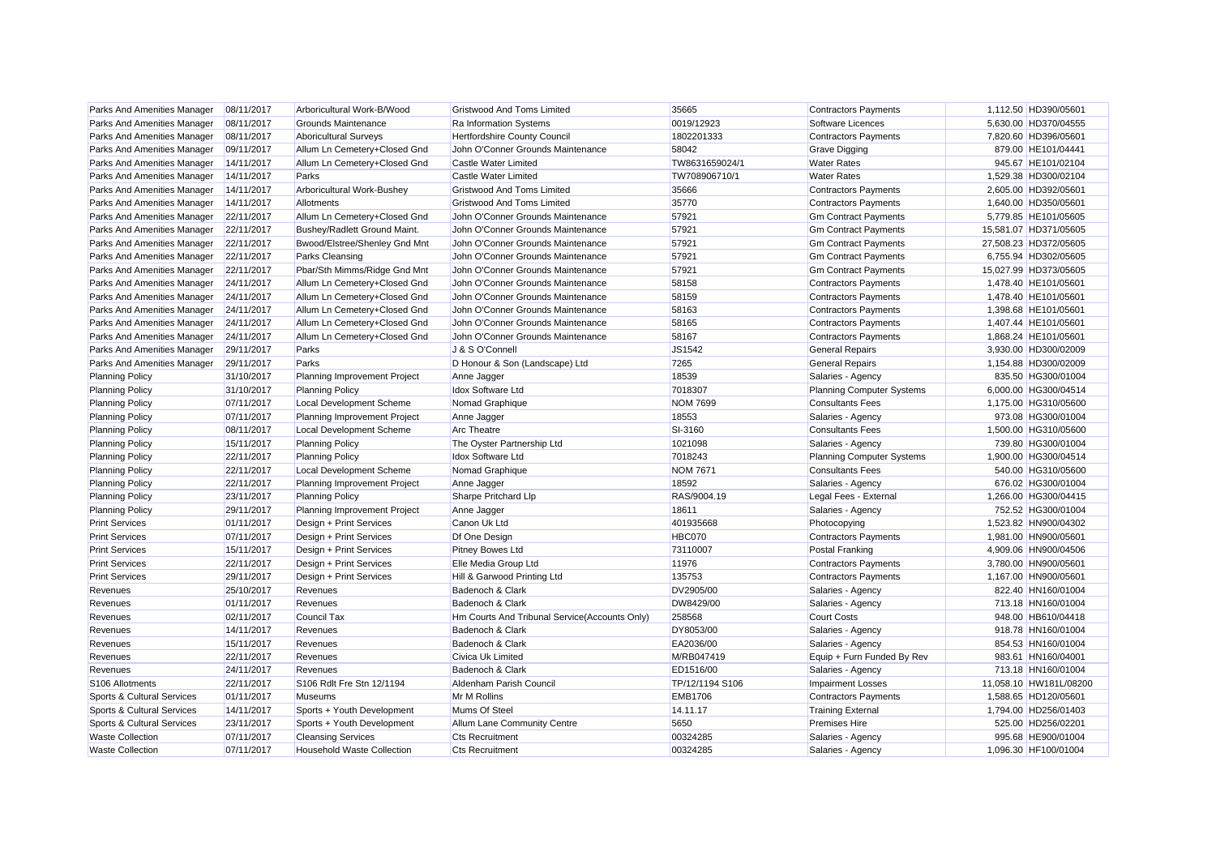| Parks And Amenities Manager | 08/11/2017 | Arboricultural Work-B/Wood      | <b>Gristwood And Toms Limited</b>             | 35665           | <b>Contractors Payments</b>      | 1,112.50 HD390/05601   |                    |
|-----------------------------|------------|---------------------------------|-----------------------------------------------|-----------------|----------------------------------|------------------------|--------------------|
| Parks And Amenities Manager | 08/11/2017 | Grounds Maintenance             | Ra Information Systems                        | 0019/12923      | Software Licences                | 5,630.00 HD370/04555   |                    |
| Parks And Amenities Manager | 08/11/2017 | <b>Aboricultural Surveys</b>    | Hertfordshire County Council                  | 1802201333      | <b>Contractors Payments</b>      | 7,820.60 HD396/05601   |                    |
| Parks And Amenities Manager | 09/11/2017 | Allum Ln Cemetery+Closed Gnd    | John O'Conner Grounds Maintenance             | 58042           | <b>Grave Digging</b>             |                        | 879.00 HE101/04441 |
| Parks And Amenities Manager | 14/11/2017 | Allum Ln Cemetery+Closed Gnd    | Castle Water Limited                          | TW8631659024/1  | <b>Water Rates</b>               |                        | 945.67 HE101/02104 |
| Parks And Amenities Manager | 14/11/2017 | Parks                           | Castle Water Limited                          | TW708906710/1   | <b>Water Rates</b>               | 1,529.38 HD300/02104   |                    |
| Parks And Amenities Manager | 14/11/2017 | Arboricultural Work-Bushey      | <b>Gristwood And Toms Limited</b>             | 35666           | <b>Contractors Payments</b>      | 2,605.00 HD392/05601   |                    |
| Parks And Amenities Manager | 14/11/2017 | Allotments                      | <b>Gristwood And Toms Limited</b>             | 35770           | <b>Contractors Payments</b>      | 1,640.00 HD350/05601   |                    |
| Parks And Amenities Manager | 22/11/2017 | Allum Ln Cemetery+Closed Gnd    | John O'Conner Grounds Maintenance             | 57921           | <b>Gm Contract Payments</b>      | 5,779.85 HE101/05605   |                    |
| Parks And Amenities Manager | 22/11/2017 | Bushey/Radlett Ground Maint.    | John O'Conner Grounds Maintenance             | 57921           | <b>Gm Contract Payments</b>      | 15,581.07 HD371/05605  |                    |
| Parks And Amenities Manager | 22/11/2017 | Bwood/Elstree/Shenley Gnd Mnt   | John O'Conner Grounds Maintenance             | 57921           | <b>Gm Contract Payments</b>      | 27,508.23 HD372/05605  |                    |
| Parks And Amenities Manager | 22/11/2017 | <b>Parks Cleansing</b>          | John O'Conner Grounds Maintenance             | 57921           | <b>Gm Contract Payments</b>      | 6,755.94 HD302/05605   |                    |
| Parks And Amenities Manager | 22/11/2017 | Pbar/Sth Mimms/Ridge Gnd Mnt    | John O'Conner Grounds Maintenance             | 57921           | <b>Gm Contract Payments</b>      | 15,027.99 HD373/05605  |                    |
| Parks And Amenities Manager | 24/11/2017 | Allum Ln Cemetery+Closed Gnd    | John O'Conner Grounds Maintenance             | 58158           | <b>Contractors Payments</b>      | 1.478.40 HE101/05601   |                    |
| Parks And Amenities Manager | 24/11/2017 | Allum Ln Cemetery+Closed Gnd    | John O'Conner Grounds Maintenance             | 58159           | <b>Contractors Payments</b>      | 1,478.40 HE101/05601   |                    |
| Parks And Amenities Manager | 24/11/2017 | Allum Ln Cemetery+Closed Gnd    | John O'Conner Grounds Maintenance             | 58163           | <b>Contractors Payments</b>      | 1,398.68 HE101/05601   |                    |
| Parks And Amenities Manager | 24/11/2017 | Allum Ln Cemetery+Closed Gnd    | John O'Conner Grounds Maintenance             | 58165           | <b>Contractors Payments</b>      | 1,407.44 HE101/05601   |                    |
| Parks And Amenities Manager | 24/11/2017 | Allum Ln Cemetery+Closed Gnd    | John O'Conner Grounds Maintenance             | 58167           | <b>Contractors Payments</b>      | 1,868.24 HE101/05601   |                    |
| Parks And Amenities Manager | 29/11/2017 | Parks                           | J & S O'Connell                               | JS1542          | <b>General Repairs</b>           | 3,930.00 HD300/02009   |                    |
| Parks And Amenities Manager | 29/11/2017 | Parks                           | D Honour & Son (Landscape) Ltd                | 7265            | <b>General Repairs</b>           | 1,154.88 HD300/02009   |                    |
| <b>Planning Policy</b>      | 31/10/2017 | Planning Improvement Project    | Anne Jagger                                   | 18539           | Salaries - Agency                |                        | 835.50 HG300/01004 |
| <b>Planning Policy</b>      | 31/10/2017 | <b>Planning Policy</b>          | Idox Software Ltd                             | 7018307         | <b>Planning Computer Systems</b> | 6,000.00 HG300/04514   |                    |
| <b>Planning Policy</b>      | 07/11/2017 | Local Development Scheme        | Nomad Graphique                               | <b>NOM 7699</b> | <b>Consultants Fees</b>          | 1,175.00 HG310/05600   |                    |
| <b>Planning Policy</b>      | 07/11/2017 | Planning Improvement Project    | Anne Jagger                                   | 18553           | Salaries - Agency                |                        | 973.08 HG300/01004 |
| <b>Planning Policy</b>      | 08/11/2017 | Local Development Scheme        | <b>Arc Theatre</b>                            | SI-3160         | <b>Consultants Fees</b>          | 1,500.00 HG310/05600   |                    |
| <b>Planning Policy</b>      | 15/11/2017 | <b>Planning Policy</b>          | The Oyster Partnership Ltd                    | 1021098         | Salaries - Agency                |                        | 739.80 HG300/01004 |
| <b>Planning Policy</b>      | 22/11/2017 | <b>Planning Policy</b>          | <b>Idox Software Ltd</b>                      | 7018243         | <b>Planning Computer Systems</b> | 1,900.00 HG300/04514   |                    |
| <b>Planning Policy</b>      | 22/11/2017 | <b>Local Development Scheme</b> | Nomad Graphique                               | <b>NOM 7671</b> | <b>Consultants Fees</b>          |                        | 540.00 HG310/05600 |
| <b>Planning Policy</b>      | 22/11/2017 | Planning Improvement Project    | Anne Jagger                                   | 18592           | Salaries - Agency                |                        | 676.02 HG300/01004 |
| <b>Planning Policy</b>      | 23/11/2017 | <b>Planning Policy</b>          | Sharpe Pritchard Llp                          | RAS/9004.19     | Legal Fees - External            | 1,266.00 HG300/04415   |                    |
| <b>Planning Policy</b>      | 29/11/2017 | Planning Improvement Project    | Anne Jagger                                   | 18611           | Salaries - Agency                |                        | 752.52 HG300/01004 |
| <b>Print Services</b>       | 01/11/2017 | Design + Print Services         | Canon Uk Ltd                                  | 401935668       | Photocopying                     | 1,523.82 HN900/04302   |                    |
| <b>Print Services</b>       | 07/11/2017 | Design + Print Services         | Df One Design                                 | <b>HBC070</b>   | <b>Contractors Payments</b>      | 1,981.00 HN900/05601   |                    |
| <b>Print Services</b>       | 15/11/2017 | Design + Print Services         | <b>Pitney Bowes Ltd</b>                       | 73110007        | <b>Postal Franking</b>           | 4,909.06 HN900/04506   |                    |
| <b>Print Services</b>       | 22/11/2017 | Design + Print Services         | Elle Media Group Ltd                          | 11976           | <b>Contractors Payments</b>      | 3,780.00 HN900/05601   |                    |
| <b>Print Services</b>       | 29/11/2017 | Design + Print Services         | Hill & Garwood Printing Ltd                   | 135753          | <b>Contractors Payments</b>      | 1,167.00 HN900/05601   |                    |
| Revenues                    | 25/10/2017 | Revenues                        | Badenoch & Clark                              | DV2905/00       | Salaries - Agency                |                        | 822.40 HN160/01004 |
| Revenues                    | 01/11/2017 | Revenues                        | Badenoch & Clark                              | DW8429/00       | Salaries - Agency                |                        | 713.18 HN160/01004 |
| Revenues                    | 02/11/2017 | <b>Council Tax</b>              | Hm Courts And Tribunal Service(Accounts Only) | 258568          | <b>Court Costs</b>               |                        | 948.00 HB610/04418 |
| Revenues                    | 14/11/2017 | Revenues                        | Badenoch & Clark                              | DY8053/00       | Salaries - Agency                |                        | 918.78 HN160/01004 |
| Revenues                    | 15/11/2017 | Revenues                        | Badenoch & Clark                              | EA2036/00       | Salaries - Agency                |                        | 854.53 HN160/01004 |
| Revenues                    | 22/11/2017 | Revenues                        | <b>Civica Uk Limited</b>                      | M/RB047419      | Equip + Furn Funded By Rev       |                        | 983.61 HN160/04001 |
| Revenues                    | 24/11/2017 | Revenues                        | Badenoch & Clark                              | ED1516/00       | Salaries - Agency                |                        | 713.18 HN160/01004 |
| S106 Allotments             | 22/11/2017 | S106 Rdlt Fre Stn 12/1194       | Aldenham Parish Council                       | TP/12/1194 S106 | <b>Impairment Losses</b>         | 11,058.10 HW181L/08200 |                    |
| Sports & Cultural Services  | 01/11/2017 | <b>Museums</b>                  | Mr M Rollins                                  | <b>EMB1706</b>  | <b>Contractors Payments</b>      | 1,588.65 HD120/05601   |                    |
| Sports & Cultural Services  | 14/11/2017 | Sports + Youth Development      | Mums Of Steel                                 | 14.11.17        | <b>Training External</b>         | 1,794.00 HD256/01403   |                    |
| Sports & Cultural Services  | 23/11/2017 | Sports + Youth Development      | Allum Lane Community Centre                   | 5650            | <b>Premises Hire</b>             |                        | 525.00 HD256/02201 |
| <b>Waste Collection</b>     | 07/11/2017 | <b>Cleansing Services</b>       | <b>Cts Recruitment</b>                        | 00324285        | Salaries - Agency                |                        | 995.68 HE900/01004 |
| <b>Waste Collection</b>     | 07/11/2017 | Household Waste Collection      | <b>Cts Recruitment</b>                        | 00324285        | Salaries - Agency                | 1.096.30 HF100/01004   |                    |
|                             |            |                                 |                                               |                 |                                  |                        |                    |